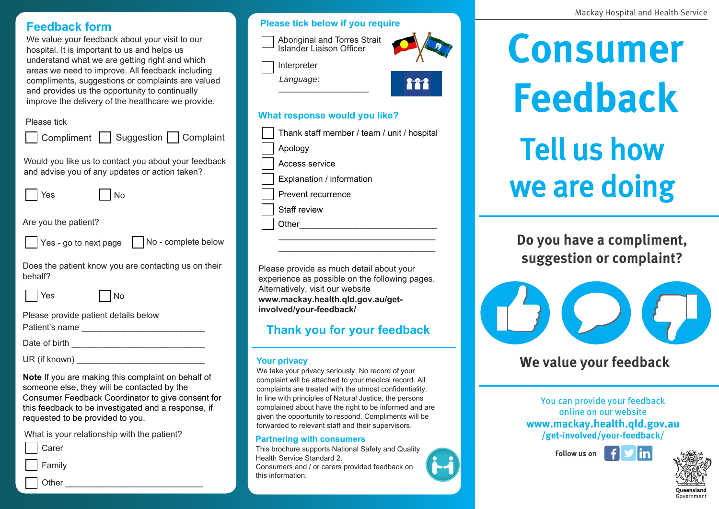### **Feedback form**

We value your feedback about your visit to our hospital. It is important to us and helps us understand what we are getting right and which areas we need to improve. All feedback including compliments, suggestions or complaints are valued and provides us the opportunity to continually improve the delivery of the healthcare we provide.

### Please tick

| Please lick<br>Compliment   Suggestion   Complaint                                                                                                     |  |  |  |
|--------------------------------------------------------------------------------------------------------------------------------------------------------|--|--|--|
| Would you like us to contact you about your feedback<br>and advise you of any updates or action taken?                                                 |  |  |  |
| No<br>Yes                                                                                                                                              |  |  |  |
| Are you the patient?                                                                                                                                   |  |  |  |
| Yes - go to next page $\vert$ No - complete below                                                                                                      |  |  |  |
| Does the patient know you are contacting us on their<br>behalf?                                                                                        |  |  |  |
| Yes<br>No                                                                                                                                              |  |  |  |
| Please provide patient details below                                                                                                                   |  |  |  |
|                                                                                                                                                        |  |  |  |
|                                                                                                                                                        |  |  |  |
| Note If you are making this complaint on behalf of<br>someone else, they will be contacted by the<br>Consumer Feedback Coordinator to give consent for |  |  |  |

this feedback to be investigated and a response, if requested to be provided to you.

What is your relationship with the patient?

Family Other

### **Please tick below if you require**

| Aboriginal and Torres Strait<br>Islander Liaison Officer<br>Interpreter      |       |
|------------------------------------------------------------------------------|-------|
| Language:                                                                    | F 7 7 |
| What response would you like?<br>Thank staff member / team / unit / hospital |       |

Apology

Access service

Explanation / information

Prevent recurrence

Staff review

Other

Please provide as much detail about your experience as possible on the following pages. Alternatively, visit our website **www.mackay.health.qld.gov.au/getinvolved/your-feedback/**

\_\_\_\_\_\_\_\_\_\_\_\_\_\_\_\_\_\_\_\_\_\_\_\_\_\_\_\_\_\_\_\_\_ \_\_\_\_\_\_\_\_\_\_\_\_\_\_\_\_\_\_\_\_\_\_\_\_\_\_\_\_\_\_\_\_\_

## **Thank you for your feedback**

#### **Your privacy**

We take your privacy seriously. No record of your complaint will be attached to your medical record. All complaints are treated with the utmost confidentiality. In line with principles of Natural Justice, the persons complained about have the right to be informed and are given the opportunity to respond. Compliments will be forwarded to relevant staff and their supervisors.

### **Partnering with consumers**

This brochure supports National Safety and Quality Health Service Standard 2. Consumers and / or carers provided feedback on this information.

**Consumer Feedback** Tell us how we are doing

**Do you have a compliment, suggestion or complaint?**



# **We value your feedback**

You can provide your feedback online on our website **www.mackay.health.qld.gov.au /get-involved/your-feedback/**

> ylin Follow us on